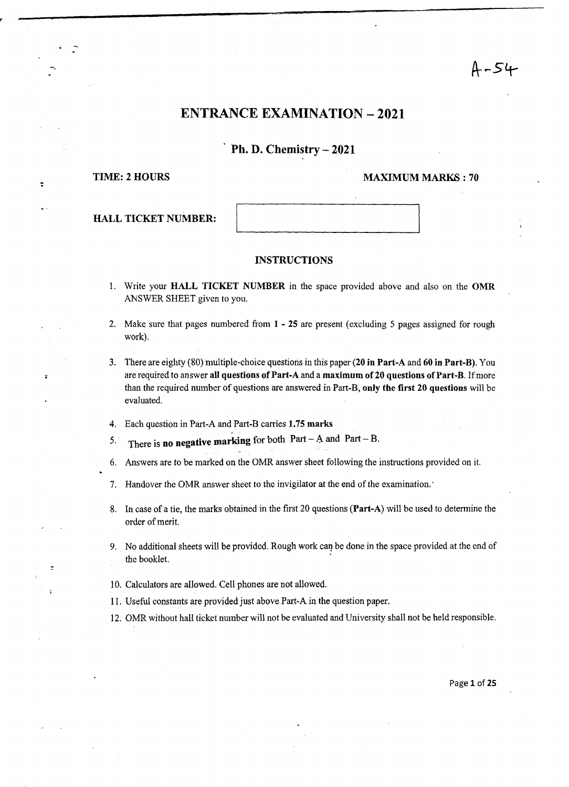### $4 - 54$

#### ENTRANCE EXAMINATION -2021

### Ph. D. Chemistry - 2021

-,

:

#### TIME: 2 HOURS MAXIMUM MARKS: 70

| <b>HALL TICKET NUMBER:</b> |  |
|----------------------------|--|
|                            |  |

#### INSTRUCTIONS

- 1. Write your HALL TICKET NUMBER in the space provided above and also on the OMR ANSWER SHEET given to you.
- 2. Make sure that pages numbered from 1 25 are present (excluding 5 pages assigned for rough work).
- 3. There are eighty (80) multiple-choice questions in this paper (20 in Part-A and 60 in Part-B). You are required to answer all questions of Part-A and a maximum of 20 questions of Part-B. If more than the required number of questions are answered in Part-B, only the first 20 questions will be evaluated.
- 4. Each question in Part-A and Part-B carries 1.75 marks
- 5. There is no negative marking for both Part A and Part B.
- 6. Answers are to be marked on the OMR answer sheet following the instructions provided on it.
- 7. Handover the OMR answer sheet to the invigilator at the end of the examination.'
- 8. In case of a tie, the marks obtained in the first 20 questions (Part-A) will be used to determine the order of merit.
- 9. No additional sheets will be provided. Rough work can be done in the space provided at the end of the booklet.
- 10. Calculators are allowed. Cell phones are not allowed.
- 11. Useful constants are provided just above Part-A in the question paper.
- 12. OMR without hall ticket number will not be evaluated and University shall not be held responsible.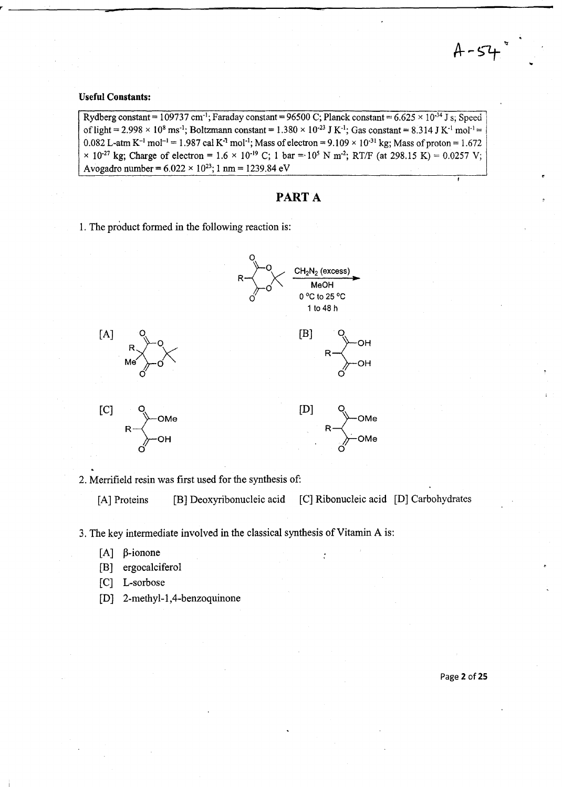#### **Useful Constants:**

**--**

Rydberg constant = 109737 cm<sup>-1</sup>; Faraday constant = 96500 C; Planck constant =  $6.625 \times 10^{-34}$  J s; Speed of light = 2.998  $\times$  10<sup>8</sup> ms<sup>-1</sup>; Boltzmann constant = 1.380  $\times$  10<sup>-23</sup> J K<sup>-1</sup>; Gas constant = 8.314 J K<sup>-1</sup> mol<sup>-1</sup> = 0.082 L-atm K<sup>-1</sup> mol<sup>-1</sup> = 1.987 cal K<sup>-1</sup> mol<sup>-1</sup>; Mass of electron = 9.109 × 10<sup>-31</sup> kg; Mass of proton = 1.672  $\times$  10<sup>-27</sup> kg; Charge of electron = 1.6  $\times$  10<sup>-19</sup> C; 1 bar = 10<sup>5</sup> N m<sup>-2</sup>; RT/F (at 298.15 K) = 0.0257 V; Avogadro number =  $6.022 \times 10^{23}$ ; 1 nm = 1239.84 eV

#### PART A

1. The product fonned in the following reaction is:



2. Merrifield resin was first used for the synthesis of:

[A] Proteins [B] Deoxyribonucleic acid [C] Ribonucleic acid [D] Carbohydrates

3. The key intennediate involved in the classical synthesis of Vitamin A is:

- $[A]$   $\beta$ -ionone
- [B] ergocalciferol
- [C] L-sorbose
- [D] 2-methyl-l,4-benzoquinone

Page 2 of 25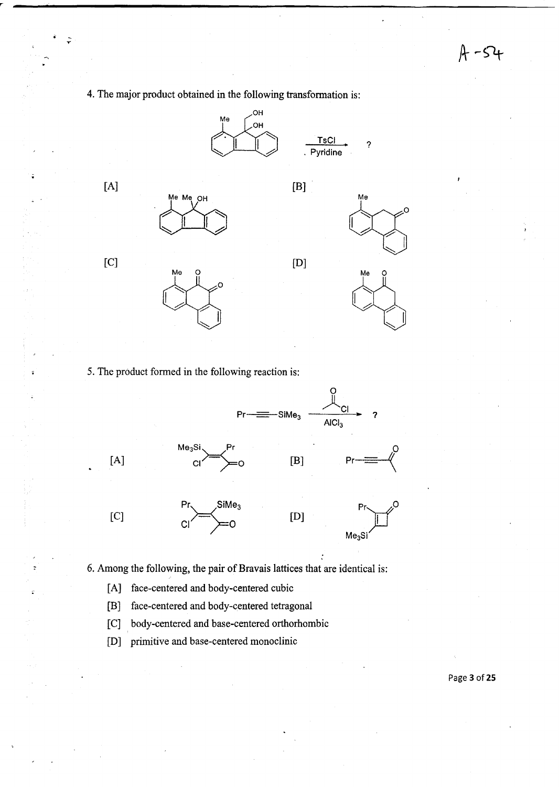-54

4. The major product obtained in the following transformation is:



5. The product formed in the following reaction is:



6. Among the following, the pair of Bravais lattices that are identical is:

[A] face-centered and body-centered cubic

 $\ddot{\phantom{a}}$ 

 $\hat{\mathbf{r}}$ 

- [B) face-centered and body-centered tetragonal
- [C] body-centered and base-centered orthorhombic
- [D] primitive and base-centered monoclinic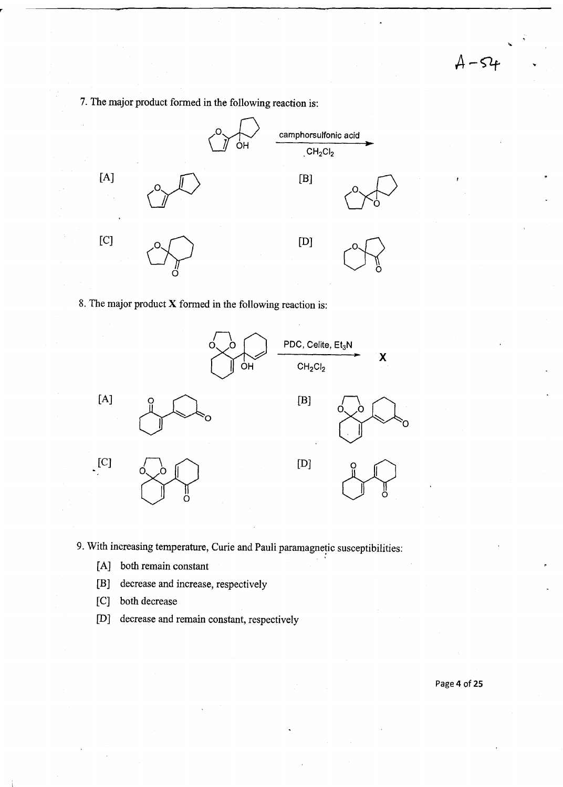$A - 54$ 

7. The major product formed in the following reaction is:



8. The major product X formed in the following reaction is:



9. With increasing temperature, Curie and Pauli paramagnetic susceptibilities:

- [A] both remain constant
- [B] decrease and increase, respectively
- [C] both decrease
- [0] decrease and remain constant, respectively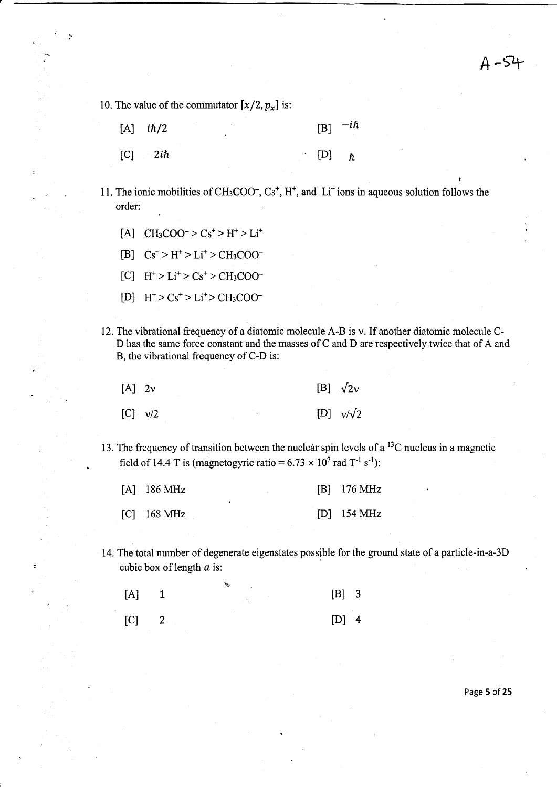$A - 54$ 

10. The value of the commutator  $[x/2, p_x]$  is:

- $[A]$  *ih*/2  $[B]$   $-i\hbar$
- $[C]$  2*ih* [D]  $\hbar$
- 11. The ionic mobilities of CH<sub>3</sub>COO<sup>-</sup>, Cs<sup>+</sup>, H<sup>+</sup>, and Li<sup>+</sup> ions in aqueous solution follows the order:
	- [A]  $CH_3COO^- > Cs^+ > H^+ > Li^+$
	- $[B]$   $Cs^+ > H^+ > Li^+ > CH_3COO^-$
	- $[C]$   $H^+ > Li^+ > Cs^+ > CH_3COO^-$
	- $[D]$   $H^+ > Cs^+ > Li^+ > CH_3COO^-$
- 12. The vibrational frequency of a diatomic molecule A-B is v. If another diatomic molecule C-D has the same force constant and the masses of C and D are respectively twice that of A and B, the vibrational frequency of C-D is:

| $[A]$ 2v         |  | [B] $\sqrt{2}v$  |
|------------------|--|------------------|
| $[C]$ $\sqrt{2}$ |  | [D] $v/\sqrt{2}$ |

13. The frequency of transition between the nuclear spin levels of a  ${}^{13}C$  nucleus in a magnetic field of 14.4 T is (magnetogyric ratio =  $6.73 \times 10^7$  rad T<sup>-1</sup> s<sup>-1</sup>):

| $[A]$ 186 MHz                             |  |  | $[B]$ 176 MHz |
|-------------------------------------------|--|--|---------------|
| $\begin{bmatrix} C \end{bmatrix}$ 168 MHz |  |  | $[D]$ 154 MHz |

14. The total number of degenerate eigenstates possible for the ground state of a particle-in-a-3D cubic box of length *a* is:

| $[\mathrm{A}]$ | . | $[B]$ 3 |  |
|----------------|---|---------|--|
| $[C]$ 2        |   | $[D]$ 4 |  |

Page 5 of 25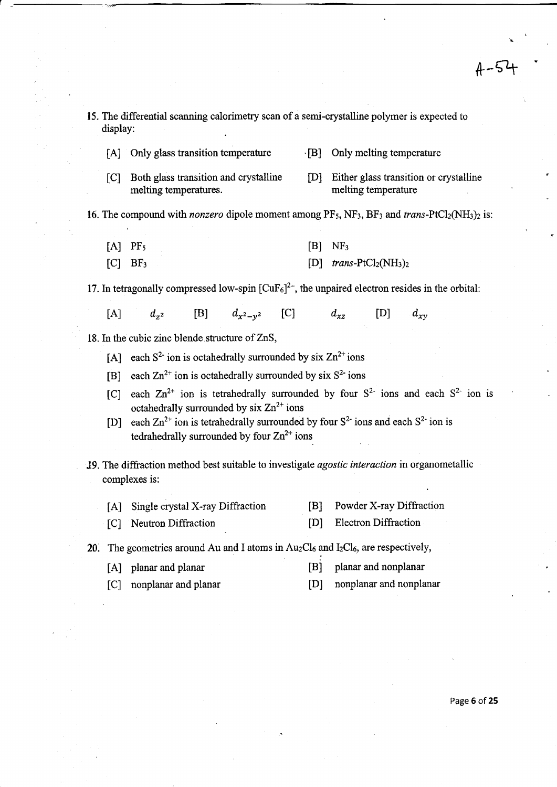$4 - 54$ 

15. The differential scanning calorimetry scan of a semi-crystalline polymer is expected to display: [A] Only glass transition temperature ... [B] Only melting temperature [C] Both glass transition and crystalline [D] Either glass transition or crystalline melting temperature melting temperatures. 16. The compound with *nonzero* dipole moment among  $PF_5$ ,  $NF_3$ ,  $BF_3$  and *trans*- $PtCl_2(NH_3)$ <sub>2</sub> is: [A] PF<sub>5</sub>  $[B]$  NF<sub>3</sub> [C] BF3  $[D]$  *trans-PtCl<sub>2</sub>(NH<sub>3</sub>)<sub>2</sub>* 17. In tetragonally compressed low-spin  $[CuF<sub>6</sub>]<sup>2</sup>$ , the unpaired electron resides in the orbital: [A]  $d_{z^2}$  [B]  $d_{x^2-y^2}$  [C]  $d_{xz}$ [D]  $d_{xv}$ 18. In the cubic zinc blende structure of ZnS, [A] each  $S^2$  ion is octahedrally surrounded by six  $Zn^{2+}$  ions [B] each  $\text{Zn}^{2+}$  ion is octahedrally surrounded by six  $S^2$  ions [C] each  $\text{Zn}^{2+}$  ion is tetrahedrally surrounded by four  $S^{2-}$  ions and each  $S^{2-}$  ion is octahedrally surrounded by  $\sin Zn^{2+}$  ions [D] each  $\text{Zn}^{2+}$  ion is tetrahedrally surrounded by four  $S^2$  ions and each  $S^2$  ion is tedrahedrally surrounded by four  $Zn^{2+}$  ions J9. The diffraction method best suitable to investigate *agostic interaction* in organometallic complexes is: [A] Single crystal X-ray Diffraction [B] Powder X-ray Diffraction [D] Electron Diffraction [C] Neutron Diffraction 20. The geometries around Au and I atoms in  $Au_2Cl_6$  and  $I_2Cl_6$ , are respectively, [A] planar and planar [B] planar and nonplanar [D] nonplanar and nonplanar [C] nonplanar and planar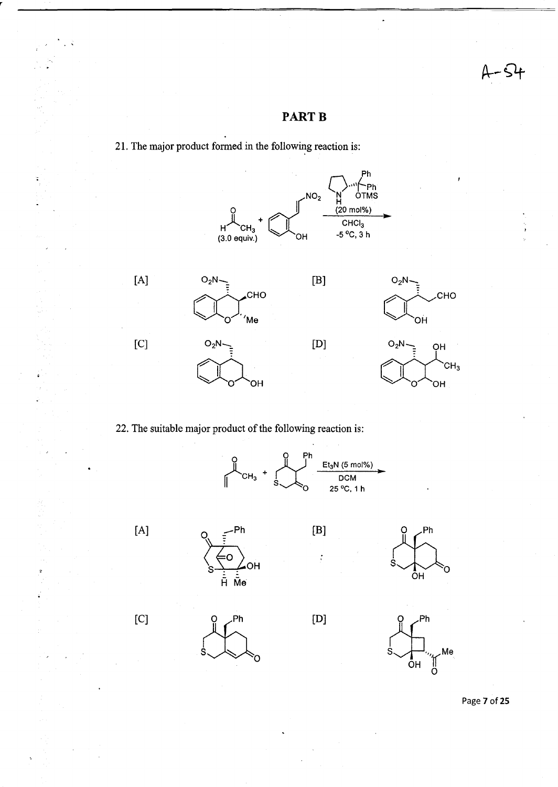### **PARTB**



21. The major product formed in the following reaction is:

22. The suitable major product of the following reaction is:



[B]

 $\ddot{\cdot}$ 

[D]

 $[A]$  o  $-Ph$ 

[C]

 $\frac{1}{s}$   $\frac{Ph}{s}$ 



 $\begin{picture}(180,10) \put(0,0){\line(1,0){10}} \put(10,0){\line(1,0){10}} \put(10,0){\line(1,0){10}} \put(10,0){\line(1,0){10}} \put(10,0){\line(1,0){10}} \put(10,0){\line(1,0){10}} \put(10,0){\line(1,0){10}} \put(10,0){\line(1,0){10}} \put(10,0){\line(1,0){10}} \put(10,0){\line(1,0){10}} \put(10,0){\line(1,0){10}} \put(10,0){\line($ 



Page 7 of 25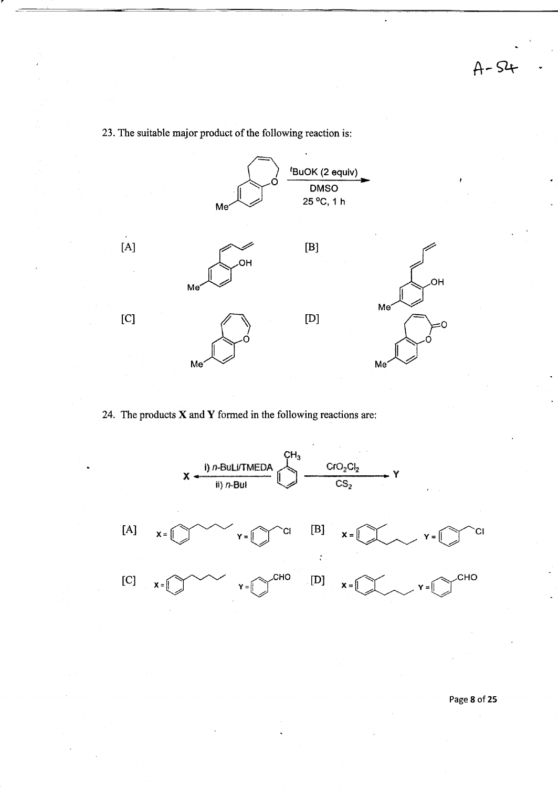23. The suitable major product of the following reaction is:



24. The products  $X$  and  $Y$  formed in the following reactions are:

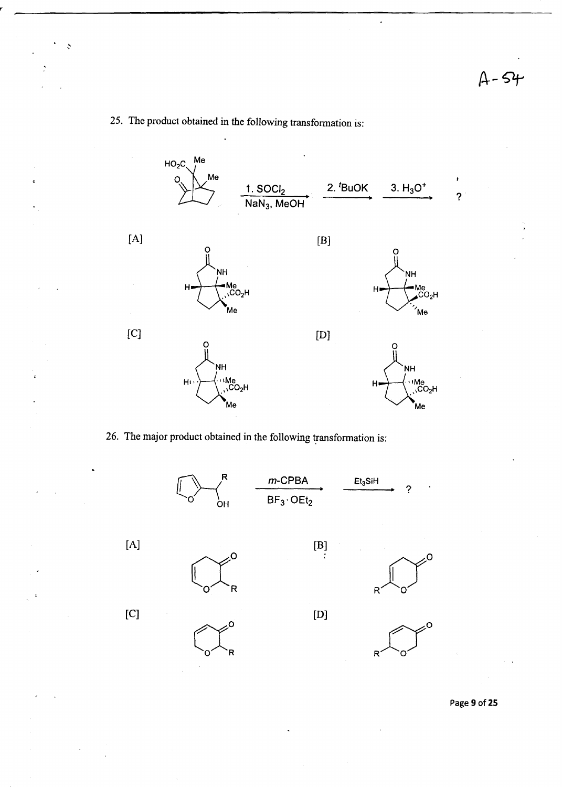$\overline{a}$ 

# 25. The product obtained in the following transformation is:

ð



26. The major product obtained in the following transformation is:



Page 9 of 25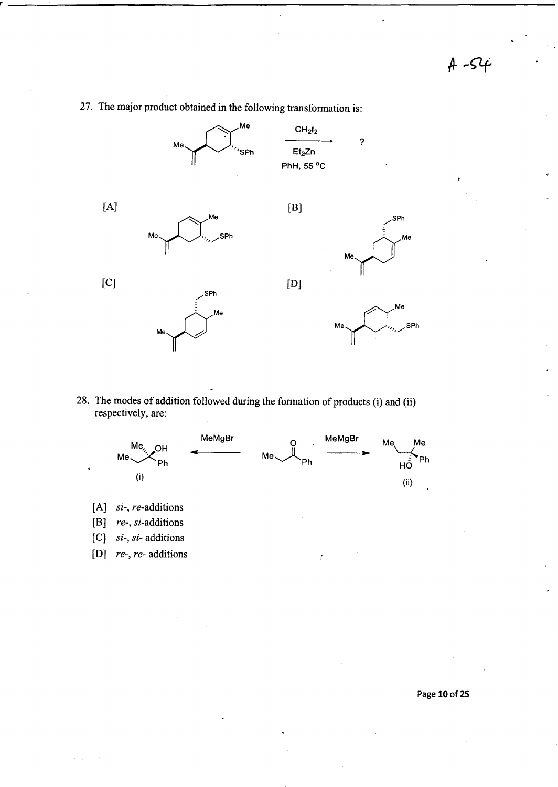$A - S4$ 



27. The major product obtained in the following transformation is:

28. The modes of addition followed during the formation of products (i) and (ii) respectively, are:



- [ A] *si-, re-additions*
- [B] *re-,* si-additions
- [C] *si-, si-* additions
- [D] *re-, re-* additions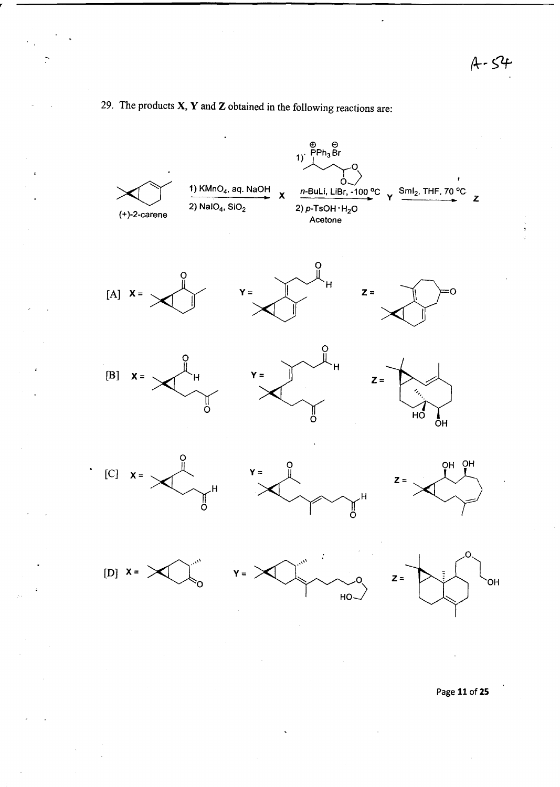$A - 54$ 

# 29. The products  $X, Y$  and  $Z$  obtained in the following reactions are:



Page 11 of 25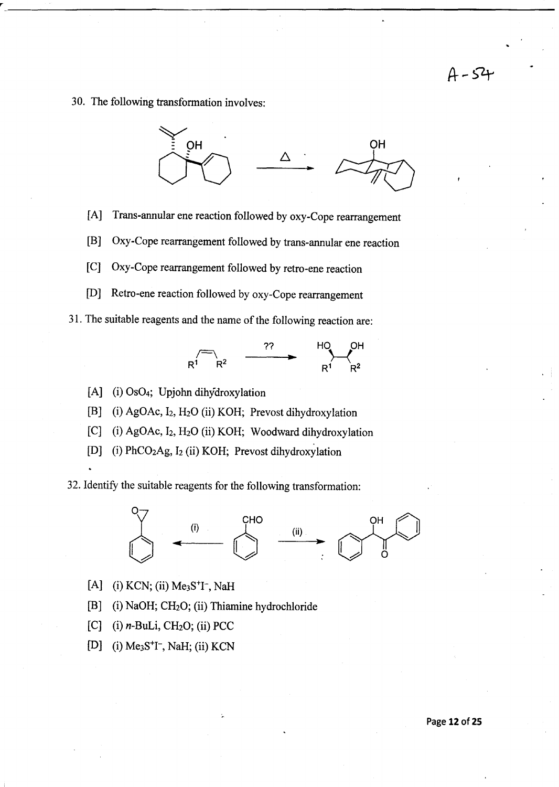# $A - 54$

30. The following transformation involves:



- [A] Trans-annular ene reaction followed by oxy-Cope rearrangement
- [B] Oxy-Cope rearrangement followed by trans-annular ene reaction
- [C] Oxy-Cope rearrangement followed by retro-ene reaction
- [D] Retro-ene reaction followed by oxy-Cope rearrangement
- 31. The suitable reagents and the name of the following reaction are:



- [A] (i) OS04; Upjohn dihydroxylation
- [B] (i) AgOAc, I<sub>2</sub>, H<sub>2</sub>O (ii) KOH; Prevost dihydroxylation
- [C] (i) AgOAc, I<sub>2</sub>, H<sub>2</sub>O (ii) KOH; Woodward dihydroxylation
- [D] (i) PhCO<sub>2</sub>Ag, I<sub>2</sub> (ii) KOH; Prevost dihydroxylation

32. Identify the suitable reagents for the following transformation:



- [A] (i) KCN; (ii)  $Me<sub>3</sub>S<sup>+</sup>I<sup>-</sup>$ , NaH
- [B] (i) NaOH; CH20; (ii) Thiamine hydrochloride
- [C] (i)  $n$ -BuLi, CH<sub>2</sub>O; (ii) PCC
- [D] (i)  $Me<sub>3</sub>S<sup>+</sup>I<sup>-</sup>$ , NaH; (ii) KCN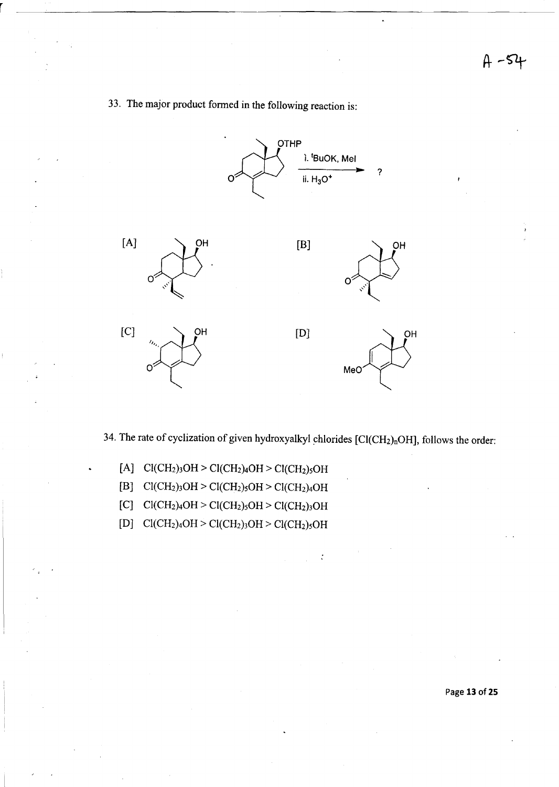

33. The major product formed in the following reaction is:

34. The rate of cyclization of given hydroxyalkyl chlorides  $[Cl(CH_2)_nOH]$ , follows the order:

 $\ddot{\cdot}$ 

- [A]  $Cl(CH_2)_3OH > Cl(CH_2)_4OH > Cl(CH_2)_5OH$
- [B]  $Cl(CH<sub>2</sub>)<sub>3</sub>OH > Cl(CH<sub>2</sub>)<sub>5</sub>OH > Cl(CH<sub>2</sub>)<sub>4</sub>OH$
- $[C] \quad \text{Cl}(\text{CH}_2)_4\text{OH} > \text{Cl}(\text{CH}_2)_5\text{OH} > \text{Cl}(\text{CH}_2)_3\text{OH}$
- $[{\rm D}] \quad {\rm Cl}({\rm CH}_2)_4{\rm OH} > {\rm Cl}({\rm CH}_2)_3{\rm OH} > {\rm Cl}({\rm CH}_2)_5{\rm OH}$

Page **13** of 25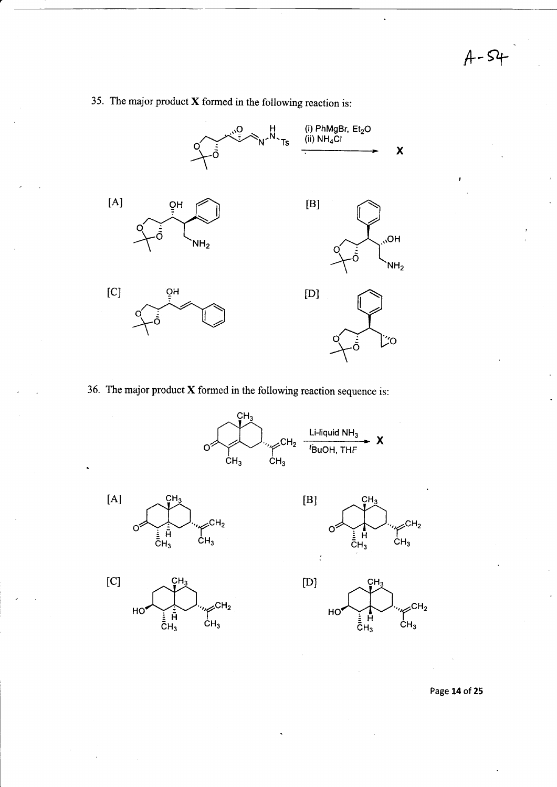**A--Slf-**

 $\ddot{\phantom{a}}$ 



## 35. The major product X formed in the following reaction is:

36. The major product X formed in the following reaction sequence is:









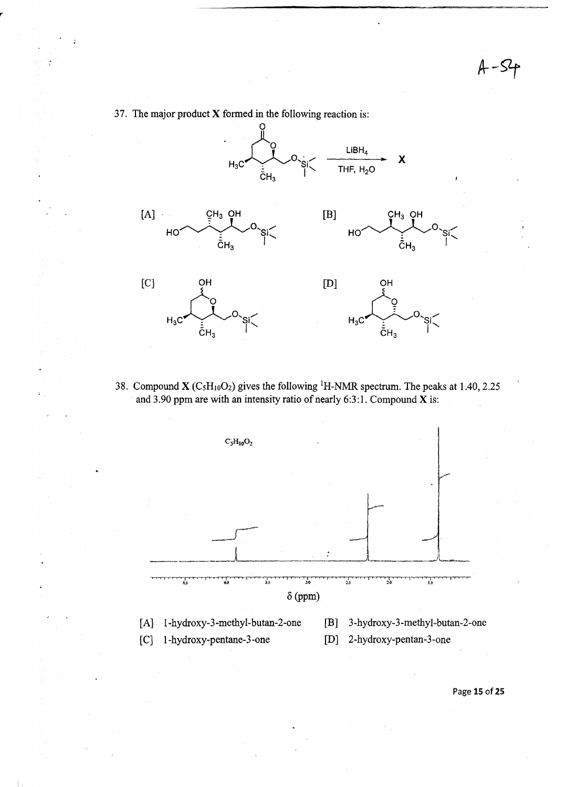*A--9f* 



37. The major product X formed in the following reaction is:

38. Compound  $X (C<sub>5</sub>H<sub>10</sub>O<sub>2</sub>)$  gives the following <sup>1</sup>H-NMR spectrum. The peaks at 1.40, 2.25 and 3.90 ppm are with an intensity ratio of nearly 6:3:1. Compound  $\bar{\mathbf{X}}$  is:



Page **15** of25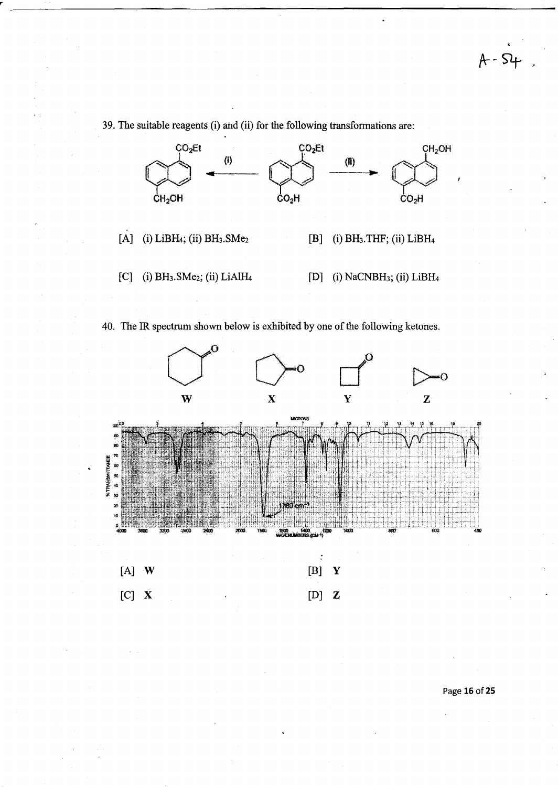ာ



39. The suitable reagents (i) and (ii) for the following transformations are:

40. The IR spectrum shown below is exhibited by one of the following ketones.



Page **16** of 25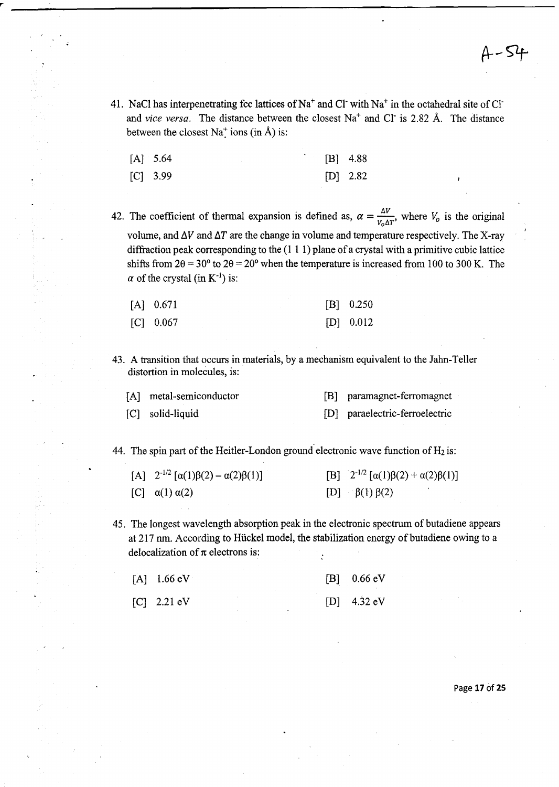41. NaCl has interpenetrating fcc lattices of  $Na<sup>+</sup>$  and Cl with  $Na<sup>+</sup>$  in the octahedral site of Cl and *vice versa*. The distance between the closest Na<sup>+</sup> and Cl<sup>-</sup> is 2.82 Å. The distance between the closest Na<sup>+</sup> ions (in  $\hat{A}$ ) is:

| $[A]$ 5.64 |  | $[B]$ 4.88 |            |
|------------|--|------------|------------|
| $[C]$ 3.99 |  |            | $[D]$ 2.82 |

42. The coefficient of thermal expansion is defined as,  $\alpha = \frac{\Delta V}{V_0 \Delta T}$ , where  $V_0$  is the original volume, and  $\Delta V$  and  $\Delta T$  are the change in volume and temperature respectively. The X-ray diffraction peak corresponding to the (1 1 1) plane of a crystal with a primitive cubic lattice shifts from  $2\theta = 30^{\circ}$  to  $2\theta = 20^{\circ}$  when the temperature is increased from 100 to 300 K. The  $\alpha$  of the crystal (in K<sup>-1</sup>) is:

| $[A]$ 0.671 |  |  | $[B]$ 0.250 |
|-------------|--|--|-------------|
| $[C]$ 0.067 |  |  | $[D]$ 0.012 |

43. A transition that occurs in materials, by a mechanism equivalent to the Jahn-Teller distortion in molecules, is:

| [A] metal-semiconductor | [B] paramagnet-ferromagnet     |
|-------------------------|--------------------------------|
| [C] solid-liquid        | [D] paraelectric-ferroelectric |

44. The spin part of the Heitler-London ground electronic wave function of  $H_2$  is:

| [A] $2^{-1/2}$ [ $\alpha(1)\beta(2) - \alpha(2)\beta(1)$ ] | [B] $2^{-1/2} [\alpha(1)\beta(2) + \alpha(2)\beta(1)]$ |
|------------------------------------------------------------|--------------------------------------------------------|
| [C] $\alpha(1) \alpha(2)$                                  | [D] $\beta(1) \beta(2)$                                |

45. The longest wavelength absorption peak in the electronic spectrum of butadiene appears at 217 nm. According to Huckel model, the stabilization energy of butadiene owing to a delocalization of  $\pi$  electrons is:

| $[A]$ 1.66 eV |  |  | $[B]$ 0.66 eV |
|---------------|--|--|---------------|
| $[C]$ 2.21 eV |  |  | $[D]$ 4.32 eV |

Page **17** of 25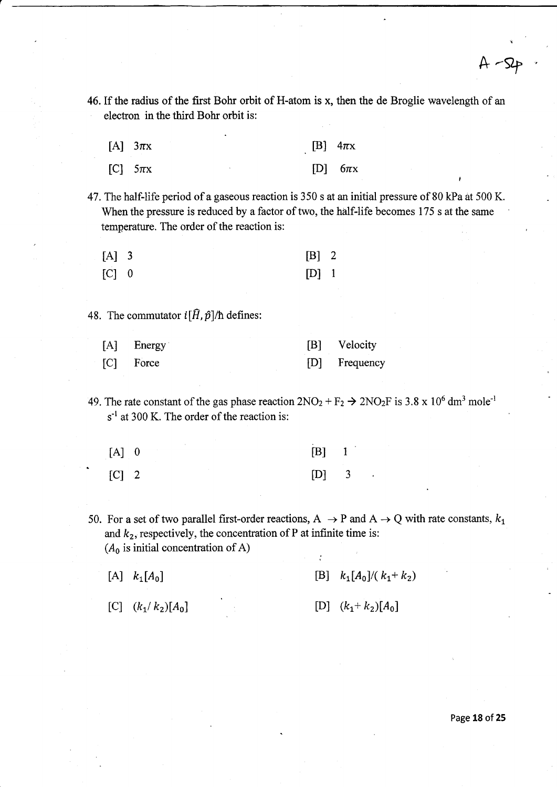46. If the radius of the first Bohr orbit of H-atom is x, then the de Broglie wavelength of an electron in the third Bohr orbit is:

| [A] $3\pi x$ | [B] $4\pi x$ |
|--------------|--------------|
| [C] $5\pi x$ | [D] $6\pi x$ |

47. The half-life period of a gaseous reaction is 350 s at an initial pressure of 80 kPa at 500 K. When the pressure is reduced by a factor of two, the half-life becomes 175 s at the same temperature. The order of the reaction is:

| $[A]$ 3 | $[B]$ 2 |  |
|---------|---------|--|
| $[C]$ 0 | $[D]$ 1 |  |

48. The commutator  $i[\hat{H}, \hat{p}]/\hbar$  defines:

r

| [A] Energy  | [B] Velocity  |
|-------------|---------------|
| $[C]$ Force | [D] Frequency |

- 49. The rate constant of the gas phase reaction  $2NO_2 + F_2 \rightarrow 2NO_2F$  is 3.8 x 10<sup>6</sup> dm<sup>3</sup> mole<sup>-1</sup>  $s<sup>-1</sup>$  at 300 K. The order of the reaction is:
	- [A] 0 [C] 2 [B] 1 [D] 3
- 50. For a set of two parallel first-order reactions,  $A \rightarrow P$  and  $A \rightarrow Q$  with rate constants,  $k_1$ and  $k_2$ , respectively, the concentration of P at infinite time is:  $(A_0$  is initial concentration of A)

 $\cdot$ 

| [A] $k_1[A_0]$       |  | [B] $k_1[A_0]/(k_1+k_2)$ |
|----------------------|--|--------------------------|
| [C] $(k_1/k_2)[A_0]$ |  | [D] $(k_1+k_2)[A_0]$     |

Page **18 of 25** 

 $A - SP$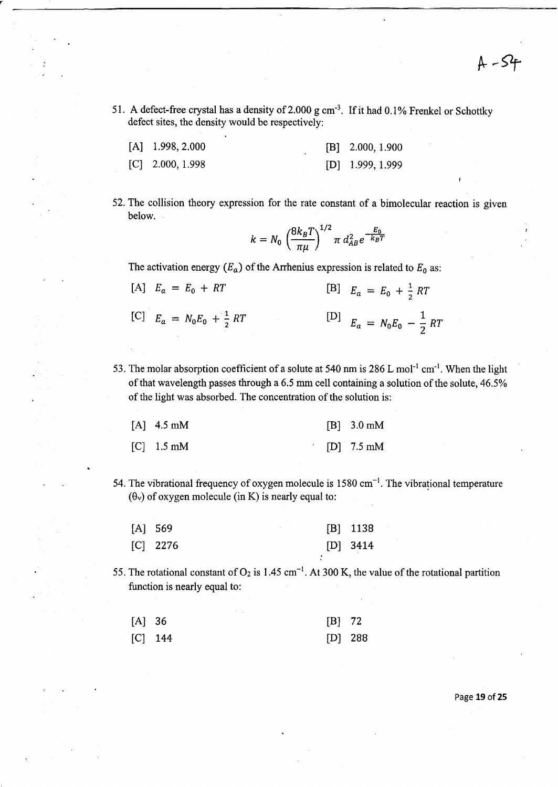51. A defect-free crystal has a density of 2.000 g cm<sup>-3</sup>. If it had 0.1% Frenkel or Schottky defect sites, the density would be respectively:

| $[A]$ 1.998, 2.000 |  | $[B]$ 2.000, 1.900 |
|--------------------|--|--------------------|
| $[C]$ 2.000, 1.998 |  | $[D]$ 1.999, 1.999 |

52. The collision theory expression for the rate constant of a bimolecular reaction is given below.

$$
k = N_0 \left(\frac{8k_B T}{\pi \mu}\right)^{1/2} \pi d_{AB}^2 e^{-\frac{E_0}{k_B T}}
$$

The activation energy  $(E_a)$  of the Arrhenius expression is related to  $E_0$  as:

| [A] $E_a = E_0 + RT$                 | [B] $E_a = E_0 + \frac{1}{2}RT$      |
|--------------------------------------|--------------------------------------|
| [C] $E_a = N_0 E_0 + \frac{1}{2} RT$ | [D] $E_a = N_0 E_0 - \frac{1}{2} RT$ |

53. The molar absorption coefficient of a solute at 540 nm is  $286$  L mol<sup>-1</sup> cm<sup>-1</sup>. When the light of that wavelength passes through a 6.5 mm cell containing a solution of the solute, 46.5% of the light was absorbed. The concentration of the solution is:

| $[A]$ 4.5 mM | $[B] 3.0 \text{ mM}$ |
|--------------|----------------------|
| $[C]$ 1.5 mM | $[D]$ 7.5 mM         |

54. The vibrational frequency of oxygen molecule is  $1580 \text{ cm}^{-1}$ . The vibrational temperature  $(\theta_v)$  of oxygen molecule (in K) is nearly equal to:

| $[A]$ 569 |            |  | $[B]$ 1138 |
|-----------|------------|--|------------|
|           | $[C]$ 2276 |  | $[D]$ 3414 |

55. The rotational constant of  $O_2$  is 1.45 cm<sup>-1</sup>. At 300 K, the value of the rotational partition function is nearly equal to:

| $[A]$ 36  | $[B]$ 72  |  |
|-----------|-----------|--|
| $[C]$ 144 | $[D]$ 288 |  |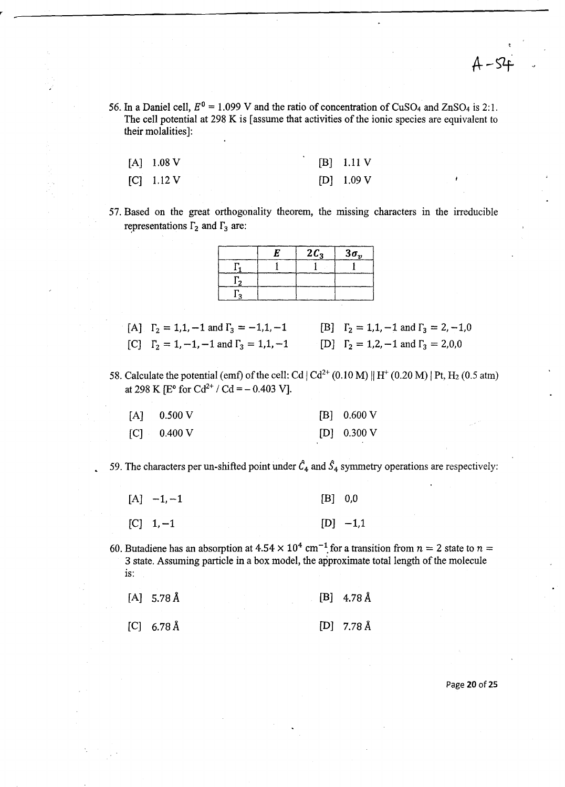56. In a Daniel cell,  $E^0 = 1.099$  V and the ratio of concentration of CuSO<sub>4</sub> and ZnSO<sub>4</sub> is 2:1. The cell potential at 298 K is [assume that activities of the ionic species are equivalent to their molalities]:

| $[A]$ 1.08 V | $[B]$ 1.11 V |
|--------------|--------------|
| $[C]$ 1.12 V | $[D]$ 1.09 V |

57. Based on the great orthogonality theorem, the missing characters in the irreducible representations  $\Gamma_2$  and  $\Gamma_3$  are:

| -62 | $2C_3$ | $3\sigma_v$ |
|-----|--------|-------------|
|     |        |             |
|     |        |             |
|     |        |             |

- [A]  $\Gamma_2 = 1, 1, -1$  and  $\Gamma_3 = -1, 1, -1$ [C]  $\Gamma_2 = 1, -1, -1$  and  $\Gamma_3 = 1, 1, -1$ [B]  $\Gamma_2 = 1, 1, -1$  and  $\Gamma_3 = 2, -1, 0$ [D]  $\Gamma_2 = 1, 2, -1$  and  $\Gamma_3 = 2, 0, 0$
- 58. Calculate the potential (emf) of the cell: Cd  $|Cd^{2+}(0.10 M)|H^+(0.20 M)|Pt, H_2 (0.5 atm)$ at 298 K [ $E^{\circ}$  for  $Cd^{2+}$  /  $Cd = -0.403$  V].

| $[A]$ 0.500 V | [B] 0.600 V   |
|---------------|---------------|
| $[C]$ 0.400 V | $[D]$ 0.300 V |

59. The characters per un-shifted point under  $\hat{C}_4$  and  $\hat{S}_4$  symmetry operations are respectively:

| $[A] -1, -1$ | $[B]$ 0,0  |
|--------------|------------|
| $[C]$ 1, -1  | $[D] -1,1$ |

60. Butadiene has an absorption at  $4.54 \times 10^4$  cm<sup>-1</sup> for a transition from  $n = 2$  state to  $n = 2$ 3 state. Assuming particle in a box model, the approximate total length of the molecule is:

| $[A]$ 5.78 Å                             |  |  | $[B]$ 4.78 Å |
|------------------------------------------|--|--|--------------|
| $\begin{bmatrix} C \end{bmatrix}$ 6.78 Å |  |  | $[D]$ 7.78 Å |

Page **20** of25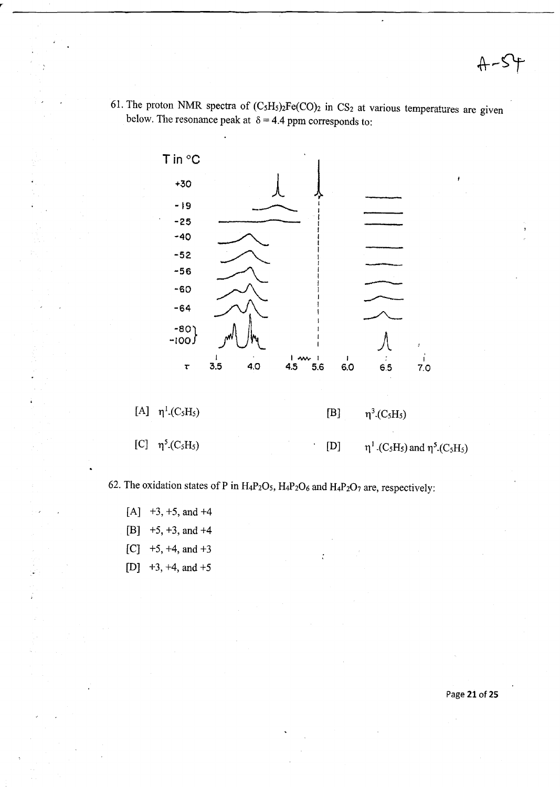-S

61. The proton NMR spectra of  $(C_5H_5)_2Fe(CO)_2$  in CS<sub>2</sub> at various temperatures are given below. The resonance peak at  $\delta = 4.4$  ppm corresponds to:



62. The oxidation states of P in  $H_4P_2O_5$ ,  $H_4P_2O_6$  and  $H_4P_2O_7$  are, respectively:

- $[A]$  +3, +5, and +4
- [B] +5, +3, and +4
- $[C]$  +5, +4, and +3
- [D]  $+3$ ,  $+4$ , and  $+5$

Page 21 of 25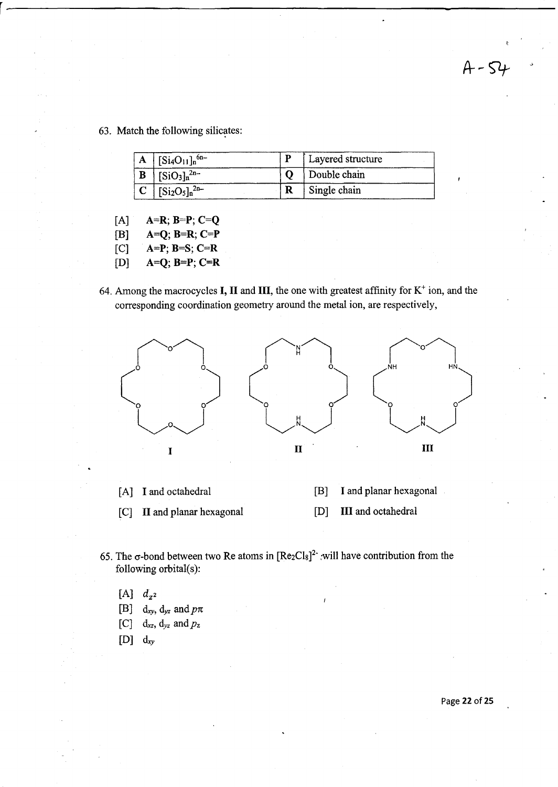63. Match the following silicates:

| A | $\left[\frac{\text{Si}_4\text{O}_{11}}{\text{m}^6}\right]$ | Layered structure |
|---|------------------------------------------------------------|-------------------|
|   | $[SiO3]n2n-$                                               | Double chain      |
|   | $[Si_2O_5]_n^{2n-}$                                        | Single chain      |

r-------------------------------------------------------------

- $[A]$  $A=R; B=P; C=Q$
- $[B]$ A=Q;B=R;C=P
- $[<sup>C</sup>]$  $A=P$ ;  $B=S$ ;  $C=R$
- [D]  $A=Q; B=P; C=R$
- 64. Among the macrocycles **I, II** and **III**, the one with greatest affinity for  $K^+$  ion, and the corresponding coordination geometry around the metal ion, are respectively,



- [A] **I** and octahedral [B] I and planar hexagonal
- [C] II and planar hexagonal [D] **III** and octahedral
- 65. The  $\sigma$ -bond between two Re atoms in  $[Re_2Cl_8]^2$  : will have contribution from the following orbital(s):
	- $[A]$   $d_{z^2}$
	- [B]  $d_{xy}$ ,  $d_{yz}$  and  $p\pi$
	- [C] *dxz, dyz* and *pz*
	- [D] *dxy*

 $A - 54$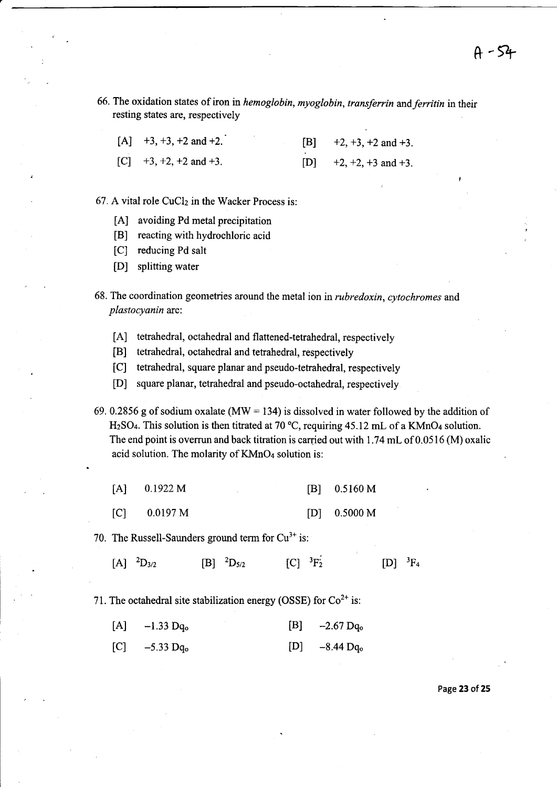66. The oxidation states of iron in *hemoglobin, myoglobin, transferrin* and *ferritin* in their resting states are, respectively

| $[A]$ +3, +3, +2 and +2.          |  | $[B]$ +2, +3, +2 and +3.    |
|-----------------------------------|--|-----------------------------|
| [C] $+3$ , $+2$ , $+2$ and $+3$ . |  | [D] $+2, +2, +3$ and $+3$ . |

67. A vital role CuCl<sub>2</sub> in the Wacker Process is:

- [A] avoiding Pd metal precipitation
- [B] reacting with hydrochloric acid
- [C] reducing Pd salt
- [D] splitting water
- 68. The coordination geometries around the metal ion in *rubredoxin, cytochromes* and *plastocyanin* are:
	- [A] tetrahedral, octahedral and flattened-tetrahedral, respectively
	- [B] tetrahedral, octahedral and tetrahedral, respectively
	- [C] tetrahedral, square planar and pseudo-tetrahedral, respectively
	- [D] square planar, tetrahedral and pseudo-octahedral, respectively

69. 0.2856 g of sodium oxalate (MW = 134) is dissolved in water followed by the addition of H2S04. This solution is then titrated at 70 °C, requiring 45.12 mL of a KMn04 solution. The end point is overrun and back titration is carried out with  $1.74$  mL of  $0.0516$  (M) oxalic acid solution. The molarity of KMnO<sub>4</sub> solution is:

| [A] | 0.1922 M |  |  | $[B]$ 0.5160 M |
|-----|----------|--|--|----------------|
|-----|----------|--|--|----------------|

 $[<sub>C</sub>]$ 0.0197 M [D] 0.5000 M

70. The Russell-Saunders ground term for  $Cu^{3+}$  is:

 $[A]$ <sup>2</sup>D<sub>3/2</sub>  $[B]$  <sup>2</sup>D<sub>5/2</sub> [C] <sup>3</sup>F<sub>2</sub><sup>2</sup>  $[D]$ <sup>3</sup>F<sub>4</sub>

71. The octahedral site stabilization energy (OSSE) for  $Co<sup>2+</sup>$  is:

| [A] | $-1.33$ Dq <sub>o</sub> | [B] | $-2.67 \text{ Dq}_0$ |
|-----|-------------------------|-----|----------------------|
|     |                         |     |                      |

 $[C]$  -5.33 Dq<sub>o</sub> [D] -8.44 Dq<sub>o</sub>

Page **23** of 25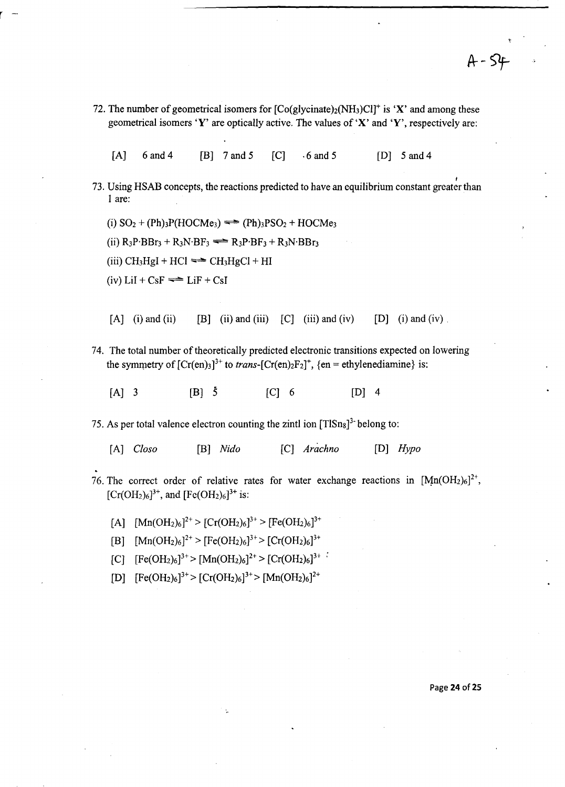72. The number of geometrical isomers for  $[Co(glycinate)<sub>2</sub>(NH<sub>3</sub>)Cl<sup>+</sup>$  is 'X' and among these geometrical isomers 'Y' are optically active. The values of 'X' and 'Y', respectively are:

 $[A]$  6 and 4 [B] 7 and 5 [C]  $\cdot$  6 and 5 [D] 5 and 4

73. Using HSAB concepts, the reactions predicted to have an equilibrium constant greater than 1 are:

(i)  $SO_2 + (Ph)_3P(HOCMe_3) \rightleftharpoons (Ph)_3PSO_2 + HOCMe_3$ 

(ii)  $R_3P$ ·BBr<sub>3</sub> +  $R_3N$ ·BF<sub>3</sub>  $\rightleftharpoons$   $R_3P$ ·BF<sub>3</sub> +  $R_3N$ ·BBr<sub>3</sub>

(iii)  $CH<sub>3</sub>H<sub>g</sub>I + HCl \rightleftharpoons CH<sub>3</sub>H<sub>g</sub>Cl + HI$ 

(iv)  $LiI + CsF \rightleftharpoons LiF + CsI$ 

r -

[A] (i) and (ii)  $[B]$  (ii) and (iii)  $[C]$  (iii) and (iv)  $[D]$  (i) and (iv) .

74. The total number of theoretically predicted electronic transitions expected on lowering the symmetry of  $[Cr(en)_3]^{3+}$  to *trans*- $[Cr(en)_2F_2]^{+}$ ,  $\{en = ethylene diamine\}$  is:

 $[A]$  3  $[B]$  5  $[C]$  6  $[D]$  4

75. As per total valence electron counting the zintl ion  $[TlSn_8]^3$  belong to:

[A] *Closo* [B] *Nido* [C] *Arachno* [D] *Hypo* 

- 76. The correct order of relative rates for water exchange reactions in  $[Mn(OH<sub>2</sub>)<sub>6</sub>]<sup>2+</sup>$ ,  $[Cr(OH<sub>2</sub>)<sub>6</sub>]<sup>3+</sup>$ , and  $[Fe(OH<sub>2</sub>)<sub>6</sub>]<sup>3+</sup>$  is:
	- [A]  $[Mn(OH_2)_6]^{2+} > [Cr(OH_2)_6]^{3+} > [Fe(OH_2)_6]^{3+}$
	- [B]  $[Mn(OH<sub>2</sub>)<sub>6</sub>]<sup>2+</sup> > [Fe(OH<sub>2</sub>)<sub>6</sub>]<sup>3+</sup> > [Cr(OH<sub>2</sub>)<sub>6</sub>]<sup>3+</sup>$
	- $[C]$   $[Fe(OH<sub>2</sub>)<sub>6</sub>]<sup>3+</sup> > [Mn(OH<sub>2</sub>)<sub>6</sub>]<sup>2+</sup> > [Cr(OH<sub>2</sub>)<sub>6</sub>]<sup>3+</sup>$
	- $[D]$   $[Fe(OH<sub>2</sub>)<sub>6</sub>]<sup>3+</sup> > [Cr(OH<sub>2</sub>)<sub>6</sub>]<sup>3+</sup> > [Mn(OH<sub>2</sub>)<sub>6</sub>]<sup>2+</sup>$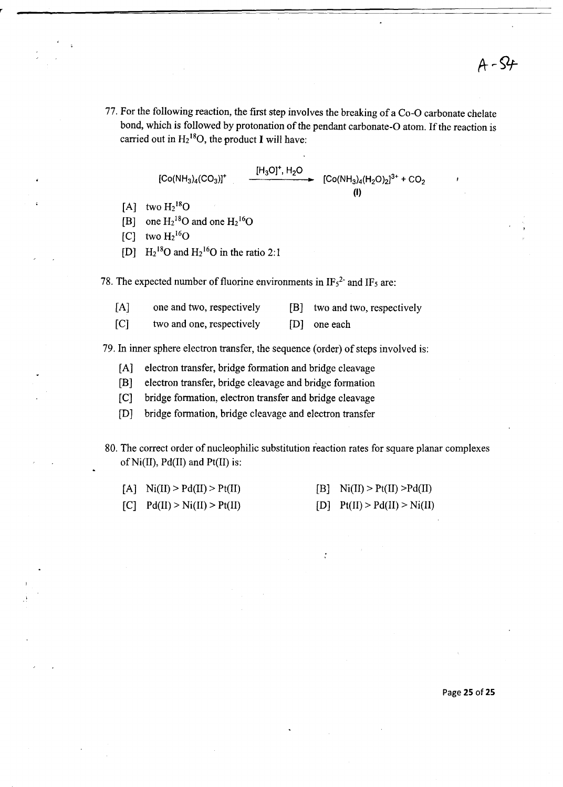77. For the following reaction, the first step involves the breaking of a Co-O carbonate chelate bond, which is followed by protonation of the pendant carbonate-O atom. If the reaction is carried out in  $H_2$ <sup>18</sup>O, the product I will have:

[Co(NH<sub>3)</sub><sub>4</sub>(CO<sub>3</sub>)]<sup>+</sup> 
$$
\xrightarrow{[H_3O]^+
$$
, H<sub>2</sub>O}  
[Co(NH<sub>3</sub>)<sub>4</sub>(H<sub>2</sub>O)<sub>2</sub>]<sup>3+</sup> + CO<sub>2</sub>

- [A] two  $H<sub>2</sub><sup>18</sup>O$
- [B] one  $H_2^{18}O$  and one  $H_2^{16}O$
- $[C]$  two  $H<sub>2</sub><sup>16</sup>O$
- [D]  $\text{H}_2{}^{18}\text{O}$  and  $\text{H}_2{}^{16}\text{O}$  in the ratio 2:1

78. The expected number of fluorine environments in  $IF_5^2$  and  $IF_5$  are:

| [A] | one and two, respectively | two and two, respectively |
|-----|---------------------------|---------------------------|
|     |                           |                           |

 $[<sub>C</sub>]$ two and one, respectively [D] one each

79. In inner sphere electron transfer, the sequence (order) of steps involved is:

- [A] electron transfer, bridge formation and bridge cleavage
- [B] electron transfer, bridge cleavage and bridge formation
- [C] bridge formation, electron transfer and bridge cleavage
- [D] bridge formation, bridge cleavage and electron transfer
- 80. The correct order of nucleophilic substitution reaction rates for square planar complexes of  $Ni(II)$ ,  $Pd(II)$  and  $Pt(II)$  is:

 $\ddot{\cdot}$ 

| [A] $\text{Ni(II)} > \text{Pd(II)} > \text{Pt(II)}$ | [B] $\text{Ni(II)} > \text{Pt(II)} > \text{Pd(II)}$ |
|-----------------------------------------------------|-----------------------------------------------------|
| $[C]$ $Pd(II) > Ni(II) > Pt(II)$                    | [D] $Pt(II) > Pd(II) > Ni(II)$                      |

Page **25** of25